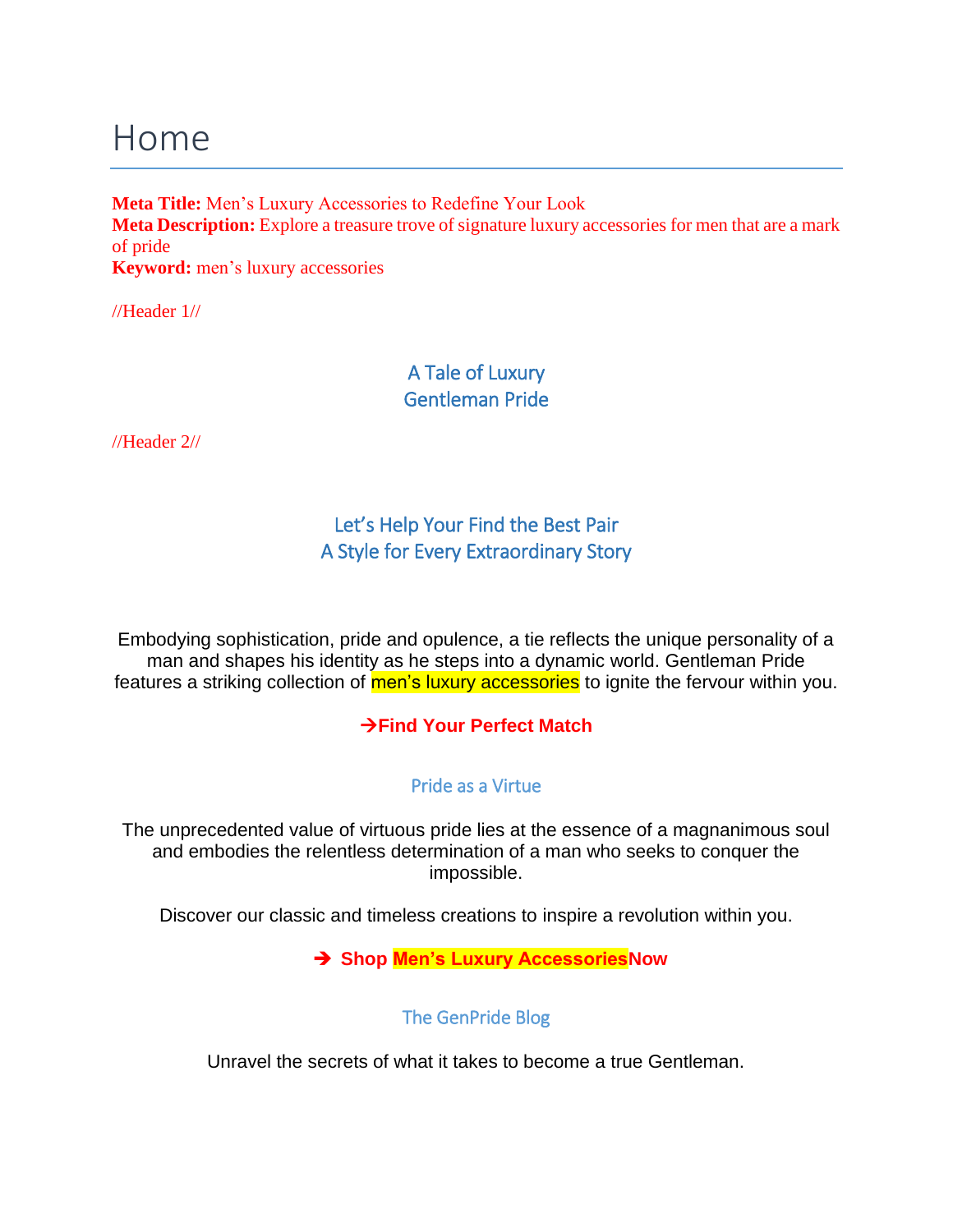## Home

**Meta Title:** Men's Luxury Accessories to Redefine Your Look **Meta Description:** Explore a treasure trove of signature luxury accessories for men that are a mark of pride **Keyword:** men's luxury accessories

//Header 1//

### A Tale of Luxury Gentleman Pride

//Header 2//

## Let's Help Your Find the Best Pair A Style for Every Extraordinary Story

Embodying sophistication, pride and opulence, a tie reflects the unique personality of a man and shapes his identity as he steps into a dynamic world. Gentleman Pride features a striking collection of men's luxury accessories to ignite the fervour within you.

#### →**Find Your Perfect Match**

#### Pride as a Virtue

The unprecedented value of virtuous pride lies at the essence of a magnanimous soul and embodies the relentless determination of a man who seeks to conquer the impossible.

Discover our classic and timeless creations to inspire a revolution within you.

➔ **Shop Men's Luxury AccessoriesNow**

The GenPride Blog

Unravel the secrets of what it takes to become a true Gentleman.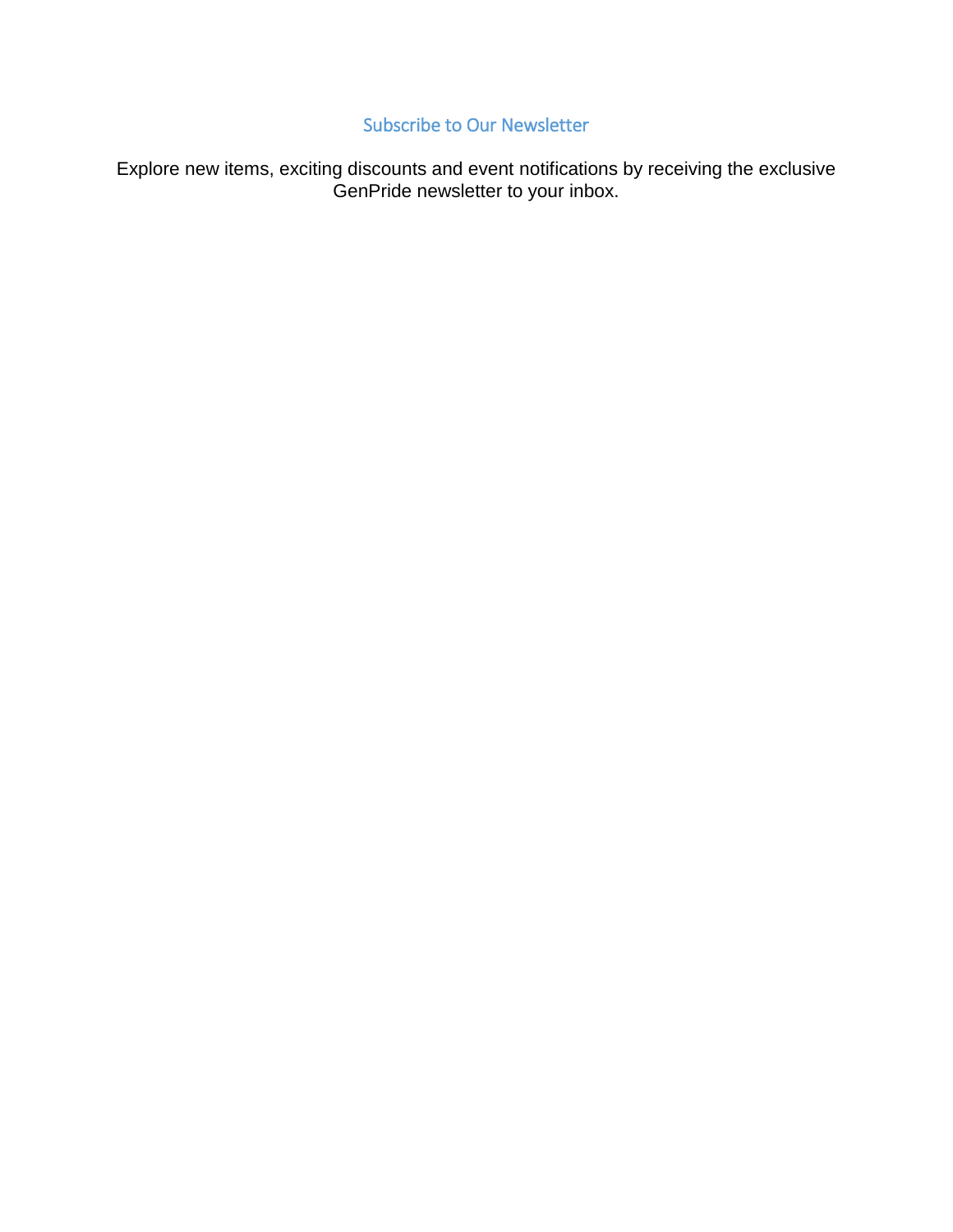## Subscribe to Our Newsletter

Explore new items, exciting discounts and event notifications by receiving the exclusive GenPride newsletter to your inbox.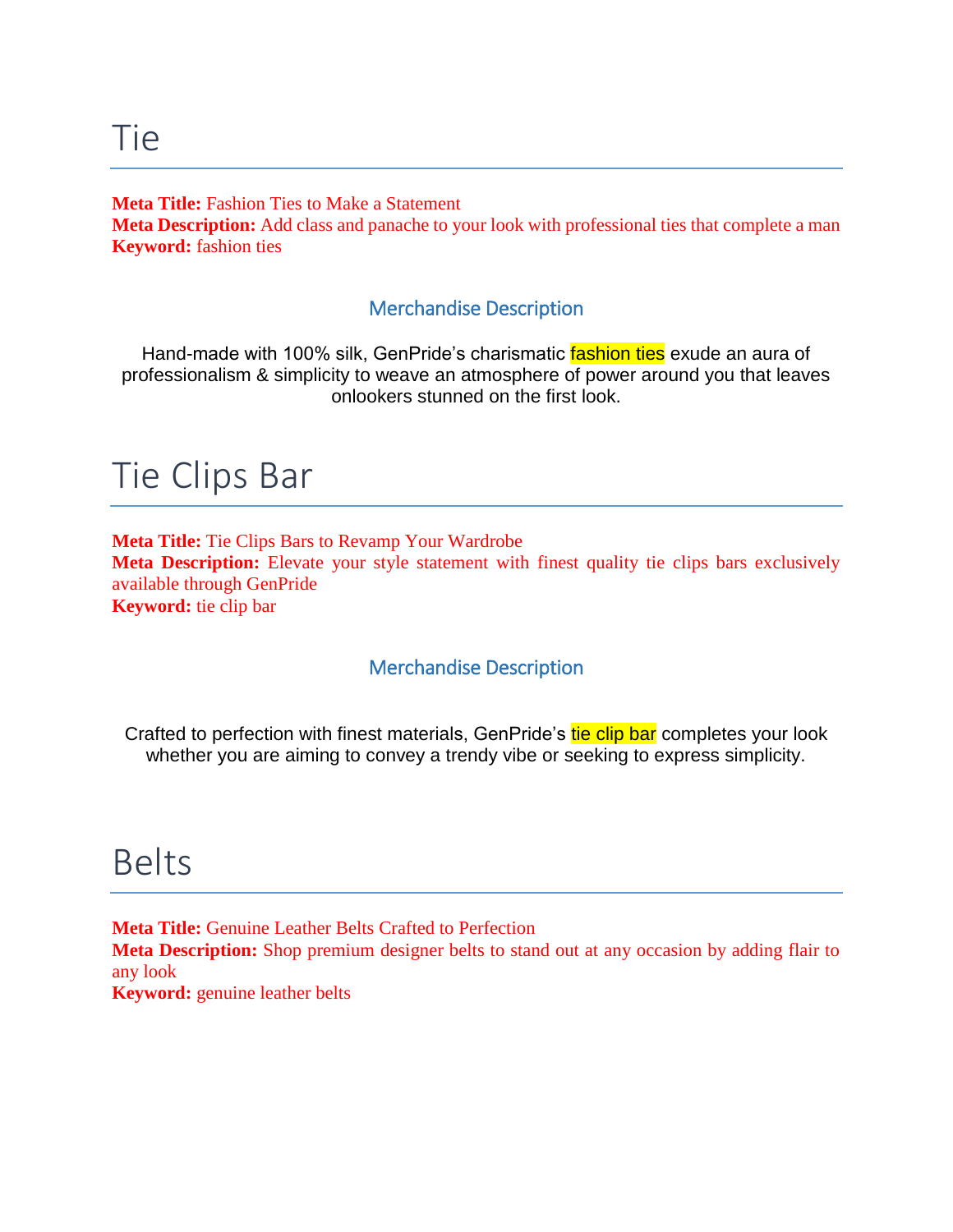#### **Meta Title:** Fashion Ties to Make a Statement

**Meta Description:** Add class and panache to your look with professional ties that complete a man **Keyword:** fashion ties

#### Merchandise Description

Hand-made with 100% silk, GenPride's charismatic fashion ties exude an aura of professionalism & simplicity to weave an atmosphere of power around you that leaves onlookers stunned on the first look.

## Tie Clips Bar

**Meta Title:** Tie Clips Bars to Revamp Your Wardrobe **Meta Description:** Elevate your style statement with finest quality tie clips bars exclusively available through GenPride **Keyword:** tie clip bar

#### Merchandise Description

Crafted to perfection with finest materials, GenPride's tie clip bar completes your look whether you are aiming to convey a trendy vibe or seeking to express simplicity.

## Belts

**Meta Title:** Genuine Leather Belts Crafted to Perfection **Meta Description:** Shop premium designer belts to stand out at any occasion by adding flair to any look **Keyword:** genuine leather belts